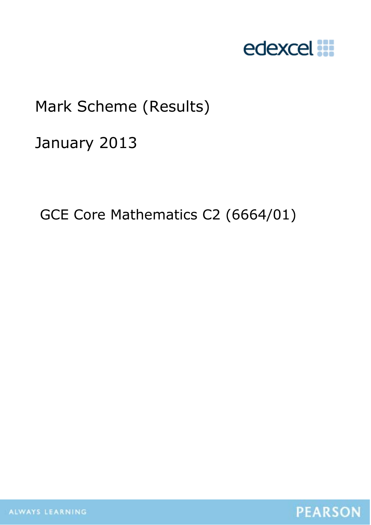

# Mark Scheme (Results)

January 2013

GCE Core Mathematics C2 (6664/01)

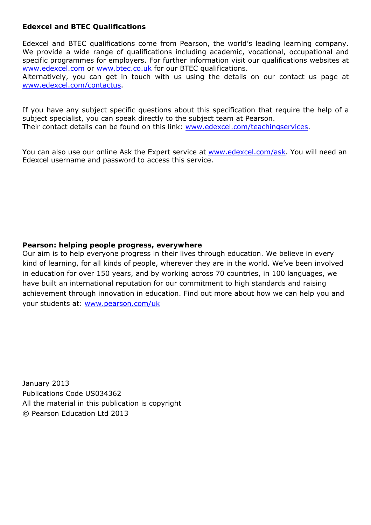#### **Edexcel and BTEC Qualifications**

Edexcel and BTEC qualifications come from Pearson, the world's leading learning company. We provide a wide range of qualifications including academic, vocational, occupational and specific programmes for employers. For further information visit our qualifications websites at www.edexcel.com or www.btec.co.uk for our BTEC qualifications.

Alternatively, you can get in touch with us using the details on our contact us page at www.edexcel.com/contactus.

If you have any subject specific questions about this specification that require the help of a subject specialist, you can speak directly to the subject team at Pearson. Their contact details can be found on this link: www.edexcel.com/teachingservices.

You can also use our online Ask the Expert service at www.edexcel.com/ask. You will need an Edexcel username and password to access this service.

## **Pearson: helping people progress, everywhere**

Our aim is to help everyone progress in their lives through education. We believe in every kind of learning, for all kinds of people, wherever they are in the world. We've been involved in education for over 150 years, and by working across 70 countries, in 100 languages, we have built an international reputation for our commitment to high standards and raising achievement through innovation in education. Find out more about how we can help you and your students at: www.pearson.com/uk

January 2013 Publications Code US034362 All the material in this publication is copyright © Pearson Education Ltd 2013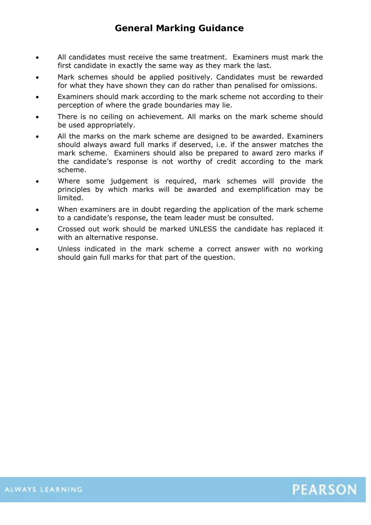# **General Marking Guidance**

- All candidates must receive the same treatment. Examiners must mark the first candidate in exactly the same way as they mark the last.
- Mark schemes should be applied positively. Candidates must be rewarded for what they have shown they can do rather than penalised for omissions.
- Examiners should mark according to the mark scheme not according to their perception of where the grade boundaries may lie.
- There is no ceiling on achievement. All marks on the mark scheme should be used appropriately.
- All the marks on the mark scheme are designed to be awarded. Examiners should always award full marks if deserved, i.e. if the answer matches the mark scheme. Examiners should also be prepared to award zero marks if the candidate's response is not worthy of credit according to the mark scheme.
- Where some judgement is required, mark schemes will provide the principles by which marks will be awarded and exemplification may be limited.
- When examiners are in doubt regarding the application of the mark scheme to a candidate's response, the team leader must be consulted.
- Crossed out work should be marked UNLESS the candidate has replaced it with an alternative response.
- Unless indicated in the mark scheme a correct answer with no working should gain full marks for that part of the question.

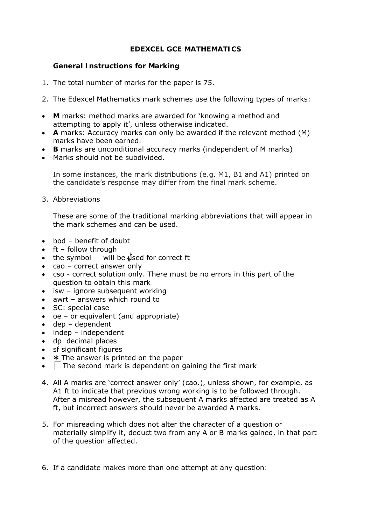## **EDEXCEL GCE MATHEMATICS**

## **General Instructions for Marking**

- 1. The total number of marks for the paper is 75.
- 2. The Edexcel Mathematics mark schemes use the following types of marks:
- **M** marks: method marks are awarded for 'knowing a method and attempting to apply it', unless otherwise indicated.
- **A** marks: Accuracy marks can only be awarded if the relevant method (M) marks have been earned.
- **B** marks are unconditional accuracy marks (independent of M marks)
- Marks should not be subdivided.

In some instances, the mark distributions (e.g. M1, B1 and A1) printed on the candidate's response may differ from the final mark scheme.

3. Abbreviations

These are some of the traditional marking abbreviations that will appear in the mark schemes and can be used.

- bod benefit of doubt
- ft follow through
- the symbol will be  $\sqrt{u}$  sed for correct ft
- cao correct answer only
- cso correct solution only. There must be no errors in this part of the question to obtain this mark
- isw ignore subsequent working
- awrt answers which round to
- SC: special case
- oe or equivalent (and appropriate)
- dep dependent
- indep independent
- dp decimal places
- sf significant figures
- $*$  The answer is printed on the paper
- $\Box$  The second mark is dependent on gaining the first mark
- 4. All A marks are 'correct answer only' (cao.), unless shown, for example, as A1 ft to indicate that previous wrong working is to be followed through. After a misread however, the subsequent A marks affected are treated as A ft, but incorrect answers should never be awarded A marks.
- 5. For misreading which does not alter the character of a question or materially simplify it, deduct two from any A or B marks gained, in that part of the question affected.
- 6. If a candidate makes more than one attempt at any question: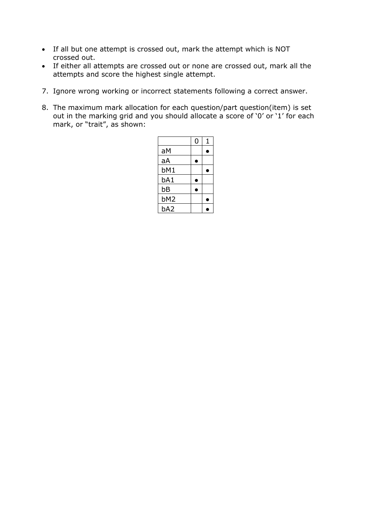- If all but one attempt is crossed out, mark the attempt which is NOT crossed out.
- If either all attempts are crossed out or none are crossed out, mark all the attempts and score the highest single attempt.
- 7. Ignore wrong working or incorrect statements following a correct answer.
- 8. The maximum mark allocation for each question/part question(item) is set out in the marking grid and you should allocate a score of '0' or '1' for each mark, or "trait", as shown:

|                 | 0 | 1 |
|-----------------|---|---|
| aM              |   |   |
| aA              |   |   |
| bM1             |   |   |
| bA1             |   |   |
| bB              | ۳ |   |
| bM <sub>2</sub> |   |   |
| bA2             |   |   |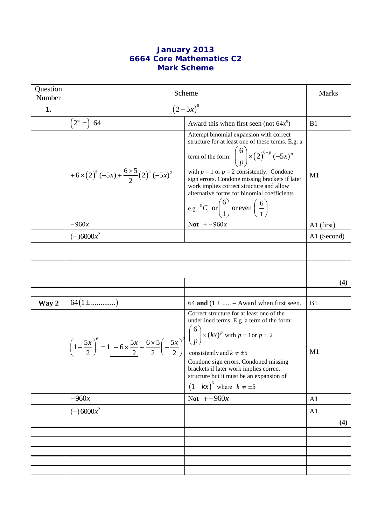# **January 2013 6664 Core Mathematics C2 Mark Scheme**

| Question<br>Number | Scheme                                                                                                                                                                                        | <b>Marks</b>                                                                                                                                                                                                                                                                                                                                                                                                                                |                |
|--------------------|-----------------------------------------------------------------------------------------------------------------------------------------------------------------------------------------------|---------------------------------------------------------------------------------------------------------------------------------------------------------------------------------------------------------------------------------------------------------------------------------------------------------------------------------------------------------------------------------------------------------------------------------------------|----------------|
| 1.                 | $(2-5x)^{6}$                                                                                                                                                                                  |                                                                                                                                                                                                                                                                                                                                                                                                                                             |                |
|                    | $(2^6 =) 64$                                                                                                                                                                                  | Award this when first seen (not $64x^0$ )                                                                                                                                                                                                                                                                                                                                                                                                   | B1             |
|                    | +6×(2) <sup>5</sup> (-5x) + $\frac{6\times5}{2}$ (2) <sup>4</sup> (-5x) <sup>2</sup>                                                                                                          | Attempt binomial expansion with correct<br>structure for at least one of these terms. E.g. a<br>term of the form: $\binom{6}{p}$ × $\left(2\right)^{6-p}$ $\left(-5x\right)^p$<br>with $p = 1$ or $p = 2$ consistently. Condone<br>sign errors. Condone missing brackets if later<br>work implies correct structure and allow<br>alternative forms for binomial coefficients<br>e.g. ${}^{6}C_{1}$ or $\binom{6}{1}$ or even $\binom{6}{1}$ | M1             |
|                    | $-960x$                                                                                                                                                                                       | Not $+ -960x$                                                                                                                                                                                                                                                                                                                                                                                                                               | $A1$ (first)   |
|                    | $(+)6000x^2$                                                                                                                                                                                  |                                                                                                                                                                                                                                                                                                                                                                                                                                             | A1 (Second)    |
|                    |                                                                                                                                                                                               |                                                                                                                                                                                                                                                                                                                                                                                                                                             |                |
|                    |                                                                                                                                                                                               |                                                                                                                                                                                                                                                                                                                                                                                                                                             |                |
|                    |                                                                                                                                                                                               |                                                                                                                                                                                                                                                                                                                                                                                                                                             |                |
|                    |                                                                                                                                                                                               |                                                                                                                                                                                                                                                                                                                                                                                                                                             | (4)            |
|                    |                                                                                                                                                                                               |                                                                                                                                                                                                                                                                                                                                                                                                                                             |                |
| Way 2              | $64(1\pm\ldots\ldots\ldots\ldots)$                                                                                                                                                            | 64 and $(1 \pm \dots - A$ ward when first seen.                                                                                                                                                                                                                                                                                                                                                                                             | B1             |
|                    | $\left(1-\frac{5x}{2}\right)^6 = 1 - 6 \times \frac{5x}{2} + \frac{6 \times 5}{2} \left(-\frac{5x}{2}\right)^2 \left(\frac{6}{p}\right) \times (kx)^p$ with $p = 1$ or $p = 2$<br>consistent. | Correct structure for at least one of the<br>underlined terms. E.g. a term of the form:<br>Condone sign errors. Condoned missing<br>brackets if later work implies correct<br>structure but it must be an expansion of<br>$(1-kx)^6$ where $k \neq \pm 5$                                                                                                                                                                                   | M <sub>1</sub> |
|                    | $-960x$                                                                                                                                                                                       | Not $+-960x$                                                                                                                                                                                                                                                                                                                                                                                                                                | A <sub>1</sub> |
|                    | $(+) 6000x^2$                                                                                                                                                                                 |                                                                                                                                                                                                                                                                                                                                                                                                                                             | A <sub>1</sub> |
|                    |                                                                                                                                                                                               |                                                                                                                                                                                                                                                                                                                                                                                                                                             | (4)            |
|                    |                                                                                                                                                                                               |                                                                                                                                                                                                                                                                                                                                                                                                                                             |                |
|                    |                                                                                                                                                                                               |                                                                                                                                                                                                                                                                                                                                                                                                                                             |                |
|                    |                                                                                                                                                                                               |                                                                                                                                                                                                                                                                                                                                                                                                                                             |                |
|                    |                                                                                                                                                                                               |                                                                                                                                                                                                                                                                                                                                                                                                                                             |                |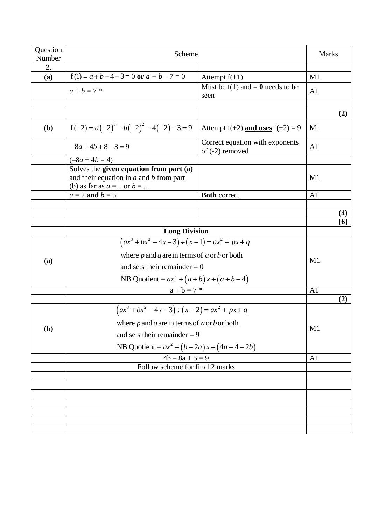| Question<br>Number | Scheme                                                |                                                      | <b>Marks</b>   |
|--------------------|-------------------------------------------------------|------------------------------------------------------|----------------|
| 2.                 |                                                       |                                                      |                |
| (a)                | $f(1) = a + b - 4 - 3 = 0$ or $a + b - 7 = 0$         | Attempt $f(\pm 1)$                                   | M1             |
|                    | $a + b = 7$ *                                         | Must be $f(1)$ and = 0 needs to be<br>seen           | A <sub>1</sub> |
|                    |                                                       |                                                      |                |
|                    |                                                       |                                                      | (2)            |
| (b)                | $f(-2) = a(-2)^3 + b(-2)^2 - 4(-2) - 3 = 9$           | Attempt $f(\pm 2)$ and uses $f(\pm 2) = 9$           | M1             |
|                    | $-8a+4b+8-3=9$                                        | Correct equation with exponents<br>of $(-2)$ removed | A <sub>1</sub> |
|                    | $(-8a + 4b = 4)$                                      |                                                      |                |
|                    | Solves the given equation from part (a)               |                                                      |                |
|                    | and their equation in $a$ and $b$ from part           |                                                      | M <sub>1</sub> |
|                    | (b) as far as $a = $ or $b = $                        |                                                      |                |
|                    | $a = 2$ and $b = 5$                                   | <b>Both correct</b>                                  | A <sub>1</sub> |
|                    |                                                       |                                                      | (4)            |
|                    |                                                       |                                                      | [6]            |
|                    | <b>Long Division</b>                                  |                                                      |                |
|                    | $(ax^3 + bx^2 - 4x - 3) \div (x - 1) = ax^2 + px + q$ |                                                      |                |
|                    | where $p$ and $q$ are in terms of $a$ or $b$ or both  |                                                      | M <sub>1</sub> |
| (a)                | and sets their remainder $= 0$                        |                                                      |                |
|                    | NB Quotient = $ax^2 + (a+b)x + (a+b-4)$               |                                                      |                |
|                    | $a + b = 7$ *                                         |                                                      | A <sub>1</sub> |
|                    |                                                       |                                                      | (2)            |
|                    | $(ax^3 + bx^2 - 4x - 3) \div (x + 2) = ax^2 + px + q$ |                                                      |                |
|                    | where $p$ and $q$ are in terms of $a$ or $b$ or both  |                                                      |                |
| (b)                | and sets their remainder $= 9$                        |                                                      | M1             |
|                    | NB Quotient = $ax^2 + (b-2a)x + (4a-4-2b)$            |                                                      |                |
|                    | $4b - 8a + 5 = 9$                                     |                                                      | A <sub>1</sub> |
|                    | Follow scheme for final 2 marks                       |                                                      |                |
|                    |                                                       |                                                      |                |
|                    |                                                       |                                                      |                |
|                    |                                                       |                                                      |                |
|                    |                                                       |                                                      |                |
|                    |                                                       |                                                      |                |
|                    |                                                       |                                                      |                |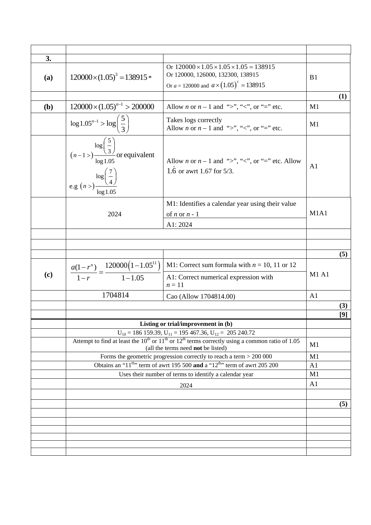| 3.         |                                                                                                                                               |                                                                                                                                                            |                |     |
|------------|-----------------------------------------------------------------------------------------------------------------------------------------------|------------------------------------------------------------------------------------------------------------------------------------------------------------|----------------|-----|
| (a)        | $120000\times(1.05)^3 = 138915*$                                                                                                              | Or $120000 \times 1.05 \times 1.05 \times 1.05 = 138915$<br>Or 120000, 126000, 132300, 138915<br>Or $a = 120000$ and $a \times (1.05)^3 = 138915$          | B1             |     |
|            |                                                                                                                                               |                                                                                                                                                            |                | (1) |
| <b>(b)</b> | $120000 \times (1.05)^{n-1} > 200000$                                                                                                         | Allow <i>n</i> or $n-1$ and ">", "<", or "=" etc.                                                                                                          | M1             |     |
|            | $\log 1.05^{n-1} > \log \left(\frac{5}{3}\right)$                                                                                             | Takes logs correctly<br>Allow <i>n</i> or $n-1$ and ">", "<", or "=" etc.                                                                                  | M1             |     |
|            | $\log\left(\frac{5}{3}\right)$<br>( <i>n</i> -1>) $\frac{\log(5)}{\log 1.05}$ or equivalent<br>e.g $(n >)\frac{\log(\frac{7}{4})}{\log 1.05}$ | Allow <i>n</i> or $n-1$ and ">", "<", or "=" etc. Allow<br>1.6 or awrt 1.67 for 5/3.                                                                       | A <sub>1</sub> |     |
|            | 2024                                                                                                                                          | M1: Identifies a calendar year using their value<br>of $n$ or $n - 1$<br>A1: 2024                                                                          | M1A1           |     |
|            |                                                                                                                                               |                                                                                                                                                            |                |     |
|            |                                                                                                                                               |                                                                                                                                                            |                |     |
|            |                                                                                                                                               |                                                                                                                                                            |                | (5) |
|            | $\frac{a(1-r^n)}{1-r} = \frac{120000(1-1.05^{11})}{1-1.05}$                                                                                   | M1: Correct sum formula with $n = 10$ , 11 or 12                                                                                                           |                |     |
| (c)        |                                                                                                                                               | A1: Correct numerical expression with<br>$n=11$                                                                                                            | M1 A1          |     |
|            | 1704814                                                                                                                                       | Cao (Allow 1704814.00)                                                                                                                                     | A <sub>1</sub> |     |
|            |                                                                                                                                               |                                                                                                                                                            |                | (3) |
|            |                                                                                                                                               |                                                                                                                                                            |                | [9] |
|            |                                                                                                                                               | Listing or trial/improvement in (b)                                                                                                                        |                |     |
|            |                                                                                                                                               | $U_{10} = 186 159.39, U_{11} = 195 467.36, U_{12} = 205 240.72$                                                                                            |                |     |
|            |                                                                                                                                               | Attempt to find at least the $10^{th}$ or $11^{th}$ or $12^{th}$ terms correctly using a common ratio of 1.05<br>(all the terms need <b>not</b> be listed) | M1             |     |
|            |                                                                                                                                               | Forms the geometric progression correctly to reach a term $> 200 000$                                                                                      | M1             |     |
|            | Obtains an "11 <sup>th</sup> " term of awrt 195 500 and a "12 <sup>th</sup> " term of awrt 205 200                                            |                                                                                                                                                            | A <sub>1</sub> |     |
|            | Uses their number of terms to identify a calendar year                                                                                        |                                                                                                                                                            | M1             |     |
|            |                                                                                                                                               | 2024                                                                                                                                                       | A <sub>1</sub> |     |
|            |                                                                                                                                               |                                                                                                                                                            |                |     |
|            |                                                                                                                                               |                                                                                                                                                            |                | (5) |
|            |                                                                                                                                               |                                                                                                                                                            |                |     |
|            |                                                                                                                                               |                                                                                                                                                            |                |     |
|            |                                                                                                                                               |                                                                                                                                                            |                |     |
|            |                                                                                                                                               |                                                                                                                                                            |                |     |
|            |                                                                                                                                               |                                                                                                                                                            |                |     |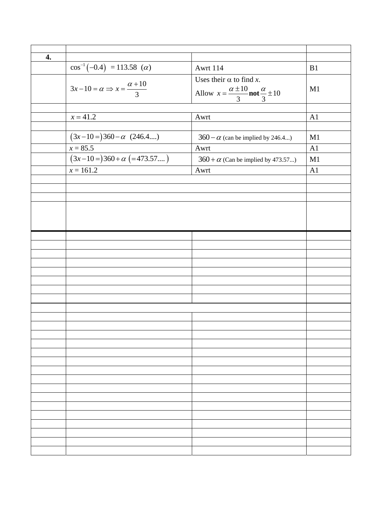| 4. |                                                      |                                                                                                     |    |
|----|------------------------------------------------------|-----------------------------------------------------------------------------------------------------|----|
|    | $\cos^{-1}(-0.4) = 113.58$ ( <i>a</i> )              | Awrt 114                                                                                            | B1 |
|    | $3x-10 = \alpha \Rightarrow x = \frac{\alpha+10}{3}$ | Uses their $\alpha$ to find x.<br>Allow $x = \frac{\alpha \pm 10}{3}$ not $\frac{\alpha}{3} \pm 10$ | M1 |
|    |                                                      |                                                                                                     |    |
|    | $x = 41.2$                                           | Awrt                                                                                                | A1 |
|    | $(3x-10=)360-\alpha$ (246.4)                         |                                                                                                     | M1 |
|    |                                                      | $360 - \alpha$ (can be implied by 246.4)                                                            |    |
|    | $x = 85.5$                                           | Awrt                                                                                                | A1 |
|    | $(3x-10=)360 + \alpha$ (=473.57)                     | $360 + \alpha$ (Can be implied by 473.57)                                                           | M1 |
|    | $x = 161.2$                                          | Awrt                                                                                                | A1 |
|    |                                                      |                                                                                                     |    |
|    |                                                      |                                                                                                     |    |
|    |                                                      |                                                                                                     |    |
|    |                                                      |                                                                                                     |    |
|    |                                                      |                                                                                                     |    |
|    |                                                      |                                                                                                     |    |
|    |                                                      |                                                                                                     |    |
|    |                                                      |                                                                                                     |    |
|    |                                                      |                                                                                                     |    |
|    |                                                      |                                                                                                     |    |
|    |                                                      |                                                                                                     |    |
|    |                                                      |                                                                                                     |    |
|    |                                                      |                                                                                                     |    |
|    |                                                      |                                                                                                     |    |
|    |                                                      |                                                                                                     |    |
|    |                                                      |                                                                                                     |    |
|    |                                                      |                                                                                                     |    |
|    |                                                      |                                                                                                     |    |
|    |                                                      |                                                                                                     |    |
|    |                                                      |                                                                                                     |    |
|    |                                                      |                                                                                                     |    |
|    |                                                      |                                                                                                     |    |
|    |                                                      |                                                                                                     |    |
|    |                                                      |                                                                                                     |    |
|    |                                                      |                                                                                                     |    |
|    |                                                      |                                                                                                     |    |
|    |                                                      |                                                                                                     |    |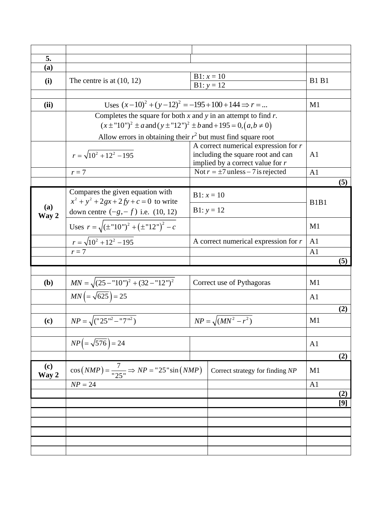| 5.           |                                                                                   |                                        |                               |     |
|--------------|-----------------------------------------------------------------------------------|----------------------------------------|-------------------------------|-----|
| (a)          |                                                                                   |                                        |                               |     |
|              |                                                                                   | $B1: x = 10$                           |                               |     |
| (i)          | The centre is at $(10, 12)$                                                       | $B1: y = 12$                           | <b>B1 B1</b>                  |     |
|              |                                                                                   |                                        |                               |     |
| (ii)         | Uses $(x-10)^2 + (y-12)^2 = -195 + 100 + 144 \Rightarrow r = $                    |                                        | M1                            |     |
|              | Completes the square for both $x$ and $y$ in an attempt to find $r$ .             |                                        |                               |     |
|              | $(x \pm "10")^2 \pm a$ and $(y \pm "12")^2 \pm b$ and $+ 195 = 0, (a, b \neq 0)$  |                                        |                               |     |
|              | Allow errors in obtaining their $r^2$ but must find square root                   |                                        |                               |     |
|              |                                                                                   | A correct numerical expression for $r$ |                               |     |
|              | $r = \sqrt{10^2 + 12^2 - 195}$                                                    | including the square root and can      | A <sub>1</sub>                |     |
|              |                                                                                   | implied by a correct value for $r$     |                               |     |
|              | $r=7$                                                                             | Not $r = \pm 7$ unless – 7 is rejected | A <sub>1</sub>                |     |
|              |                                                                                   |                                        |                               | (5) |
|              | Compares the given equation with                                                  | $B1: x = 10$                           |                               |     |
| (a)          | $x^2 + y^2 + 2gx + 2fy + c = 0$ to write                                          | $B1: y = 12$                           | B <sub>1</sub> B <sub>1</sub> |     |
| Way 2        | down centre $(-g, -f)$ i.e. (10, 12)                                              |                                        |                               |     |
|              | Uses $r = \sqrt{(\pm \text{``}10\text{''})^2 + (\pm \text{``}12\text{''})^2 - c}$ |                                        | M1                            |     |
|              | $r = \sqrt{10^2 + 12^2 - 195}$                                                    | A correct numerical expression for $r$ | A <sub>1</sub>                |     |
|              | $r=7$                                                                             |                                        | A <sub>1</sub>                |     |
|              |                                                                                   |                                        |                               | (5) |
|              |                                                                                   |                                        |                               |     |
| ( <b>b</b> ) | $MN = \sqrt{(25 - "10")^2 + (32 - "12")^2}$                                       | Correct use of Pythagoras              | M <sub>1</sub>                |     |
|              | $MN = \sqrt{625}$ = 25                                                            |                                        | A <sub>1</sub>                |     |
|              |                                                                                   |                                        |                               |     |
|              |                                                                                   |                                        |                               | (2) |
| (c)          | $NP = \sqrt{("25"^{2} - "7"^{2})}$                                                | $NP = \sqrt{(MN^2 - r^2)}$             | M <sub>1</sub>                |     |
|              |                                                                                   |                                        |                               |     |
|              | $NP = \sqrt{576}$ = 24                                                            |                                        | A <sub>1</sub>                |     |
|              |                                                                                   |                                        |                               | (2) |
|              |                                                                                   |                                        |                               |     |
| (c)<br>Way 2 | $\cos(NMP) = \frac{7}{"25"} \Rightarrow NP = "25" \sin(NMP)$                      | Correct strategy for finding NP        | M1                            |     |
|              | $NP = 24$                                                                         |                                        | A <sub>1</sub>                |     |
|              |                                                                                   |                                        |                               | (2) |
|              |                                                                                   |                                        |                               | [9] |
|              |                                                                                   |                                        |                               |     |
|              |                                                                                   |                                        |                               |     |
|              |                                                                                   |                                        |                               |     |
|              |                                                                                   |                                        |                               |     |
|              |                                                                                   |                                        |                               |     |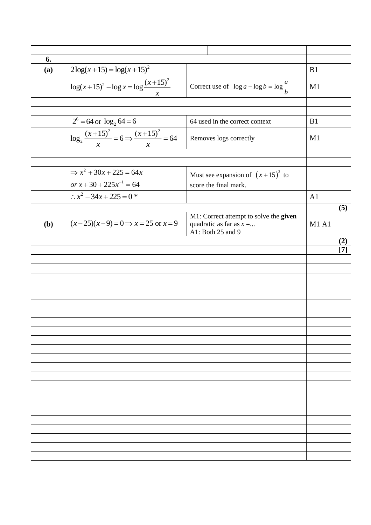| 6.  |                                                                      |                                                                                           |              |
|-----|----------------------------------------------------------------------|-------------------------------------------------------------------------------------------|--------------|
| (a) | $2\log(x+15) = \log(x+15)^2$                                         |                                                                                           | B1           |
|     | $\log(x+15)^2 - \log x = \log \frac{(x+15)^2}{x+1}$<br>$\mathcal{X}$ | Correct use of $\log a - \log b = \log \frac{a}{b}$                                       | M1           |
|     |                                                                      |                                                                                           |              |
|     |                                                                      |                                                                                           |              |
|     | $2^6 = 64$ or $\log_2 64 = 6$                                        | 64 used in the correct context                                                            | B1           |
|     | $\log_2 \frac{(x+15)^2}{x} = 6 \Rightarrow \frac{(x+15)^2}{x} = 64$  | Removes logs correctly                                                                    | M1           |
|     |                                                                      |                                                                                           |              |
|     |                                                                      |                                                                                           |              |
|     | $\Rightarrow x^2 + 30x + 225 = 64x$                                  | Must see expansion of $(x+15)^2$ to                                                       |              |
|     | or $x + 30 + 225x^{-1} = 64$                                         | score the final mark.                                                                     |              |
|     | $\therefore$ $x^2 - 34x + 225 = 0$ *                                 |                                                                                           | A1           |
|     |                                                                      |                                                                                           | (5)          |
| (b) | $(x-25)(x-9) = 0 \implies x = 25$ or $x = 9$                         | M1: Correct attempt to solve the given<br>quadratic as far as $x = $<br>A1: Both 25 and 9 | <b>M1 A1</b> |
|     |                                                                      |                                                                                           | (2)          |
|     |                                                                      |                                                                                           | 17           |
|     |                                                                      |                                                                                           |              |
|     |                                                                      |                                                                                           |              |
|     |                                                                      |                                                                                           |              |
|     |                                                                      |                                                                                           |              |
|     |                                                                      |                                                                                           |              |
|     |                                                                      |                                                                                           |              |
|     |                                                                      |                                                                                           |              |
|     |                                                                      |                                                                                           |              |
|     |                                                                      |                                                                                           |              |
|     |                                                                      |                                                                                           |              |
|     |                                                                      |                                                                                           |              |
|     |                                                                      |                                                                                           |              |
|     |                                                                      |                                                                                           |              |
|     |                                                                      |                                                                                           |              |
|     |                                                                      |                                                                                           |              |
|     |                                                                      |                                                                                           |              |
|     |                                                                      |                                                                                           |              |
|     |                                                                      |                                                                                           |              |
|     |                                                                      |                                                                                           |              |
|     |                                                                      |                                                                                           |              |
|     |                                                                      |                                                                                           |              |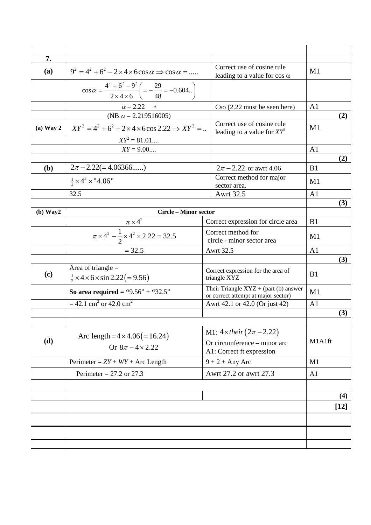|             |                                                                                                                        |                                                                                                 |                | (4)<br>$[12]$ |
|-------------|------------------------------------------------------------------------------------------------------------------------|-------------------------------------------------------------------------------------------------|----------------|---------------|
|             |                                                                                                                        |                                                                                                 |                |               |
|             | Perimeter = $27.2$ or 27.3                                                                                             | Awrt 27.2 or awrt 27.3                                                                          | A <sub>1</sub> |               |
|             | Perimeter = $ZY + WY + Arc$ Length                                                                                     | $9 + 2 + Any Arc$                                                                               | M1             |               |
| (d)         | Arc length = $4 \times 4.06 (= 16.24)$<br>Or $8\pi - 4 \times 2.22$                                                    | M1: $4 \times their (2\pi - 2.22)$<br>Or circumference – minor arc<br>A1: Correct ft expression | M1A1ft         |               |
|             |                                                                                                                        |                                                                                                 |                |               |
|             |                                                                                                                        | Awrt 42.1 or 42.0 (Or just 42)                                                                  | A <sub>1</sub> | (3)           |
|             | So area required = "9.56" + "32.5"<br>$= 42.1$ cm <sup>2</sup> or 42.0 cm <sup>2</sup>                                 | or correct attempt at major sector)                                                             | M1             |               |
| (c)         | $\frac{1}{2}$ × 4 × 6 × sin 2.22(= 9.56)                                                                               | Correct expression for the area of<br>triangle XYZ<br>Their Triangle $XYZ + (part (b)$ answer   | B <sub>1</sub> |               |
|             | Area of triangle $=$                                                                                                   |                                                                                                 |                | (3)           |
|             | $= 32.5$                                                                                                               | <b>Awrt 32.5</b>                                                                                | A <sub>1</sub> |               |
|             | $\frac{\pi \times 4^2}{\pi \times 4^2 - \frac{1}{2} \times 4^2 \times 2.22 = 32.5}$                                    | Correct method for<br>circle - minor sector area                                                | M1             |               |
|             |                                                                                                                        | Correct expression for circle area                                                              | B <sub>1</sub> |               |
| (b) Way2    | <b>Circle - Minor sector</b>                                                                                           |                                                                                                 |                | (3)           |
|             | 32.5                                                                                                                   | <b>Awrt 32.5</b>                                                                                | A <sub>1</sub> |               |
|             | $\frac{1}{2} \times 4^2 \times 4.06$ "                                                                                 | Correct method for major<br>sector area.                                                        | M1             |               |
| (b)         | $2\pi - 2.22(=4.06366)$                                                                                                | $2\pi - 2.22$ or awrt 4.06                                                                      | B1             |               |
|             |                                                                                                                        |                                                                                                 |                | (2)           |
|             | $\overrightarrow{XY}^2 = 81.01$<br>$XY = 9.00$                                                                         |                                                                                                 | A <sub>1</sub> |               |
| $(a)$ Way 2 | $XY^2 = 4^2 + 6^2 - 2 \times 4 \times 6 \cos 2.22 \Rightarrow XY^2 = $                                                 | Correct use of cosine rule<br>leading to a value for $XY^2$                                     | M1             |               |
|             | (NB $\alpha$ = 2.219516005)                                                                                            |                                                                                                 |                | (2)           |
|             | $\cos \alpha = \frac{4^2 + 6^2 - 9^2}{2 \times 4 \times 6} \left( \frac{29}{48} \right) = -0.604$<br>$\alpha = 2.22$ * | $\text{Cso } (2.22 \text{ must be seen here})$                                                  | A <sub>1</sub> |               |
| (a)         | $9^2 = 4^2 + 6^2 - 2 \times 4 \times 6 \cos \alpha \Rightarrow \cos \alpha =$                                          | Correct use of cosine rule<br>leading to a value for cos $\alpha$                               | M1             |               |
| 7.          |                                                                                                                        |                                                                                                 |                |               |
|             |                                                                                                                        |                                                                                                 |                |               |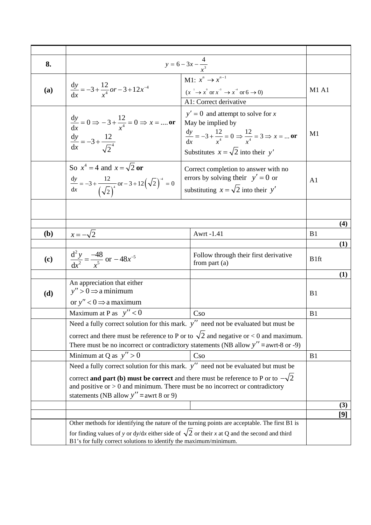| 8.  |                                                                                                                                                                                                                                                                              | $y = 6 - 3x - \frac{4}{x^3}$                                                                                                                                                                   |                  |     |
|-----|------------------------------------------------------------------------------------------------------------------------------------------------------------------------------------------------------------------------------------------------------------------------------|------------------------------------------------------------------------------------------------------------------------------------------------------------------------------------------------|------------------|-----|
| (a) | $\frac{dy}{dx} = -3 + \frac{12}{x^4}or - 3 + 12x^{-4}$                                                                                                                                                                                                                       | M1: $x^n \rightarrow x^{n-1}$<br>$(x^{-1} \to x^0 \text{ or } x^{-3} \to x^{-4} \text{ or } 6 \to 0)$<br>A1: Correct derivative                                                                | <b>M1 A1</b>     |     |
|     | $\frac{dy}{dx} = 0 \Rightarrow -3 + \frac{12}{x^4} = 0 \Rightarrow x = $ or<br>$rac{dy}{dx} = -3 + \frac{12}{\sqrt{2}^{4}}$                                                                                                                                                  | $y' = 0$ and attempt to solve for x<br>May be implied by<br>$\frac{dy}{dx} = -3 + \frac{12}{x^4} = 0 \implies \frac{12}{x^4} = 3 \implies x = $ or<br>Substitutes $x = \sqrt{2}$ into their y' | M1               |     |
|     | So $x^4 = 4$ and $x = \sqrt{2}$ or<br>$rac{dy}{dx} = -3 + \frac{12}{(\sqrt{2})^4}$ or $-3 + 12(\sqrt{2})^4 = 0$                                                                                                                                                              | Correct completion to answer with no<br>errors by solving their $y' = 0$ or<br>substituting $x = \sqrt{2}$ into their y'                                                                       | A1               |     |
|     |                                                                                                                                                                                                                                                                              |                                                                                                                                                                                                |                  |     |
|     |                                                                                                                                                                                                                                                                              |                                                                                                                                                                                                |                  | (4) |
| (b) | $x=-\sqrt{2}$                                                                                                                                                                                                                                                                | Awrt -1.41                                                                                                                                                                                     | B <sub>1</sub>   |     |
|     |                                                                                                                                                                                                                                                                              |                                                                                                                                                                                                |                  | (1) |
| (c) | $\frac{d^2 y}{dx^2} = \frac{-48}{x^5}$ or $-48x^{-5}$                                                                                                                                                                                                                        | Follow through their first derivative<br>from part $(a)$                                                                                                                                       | B <sub>1ft</sub> |     |
|     |                                                                                                                                                                                                                                                                              |                                                                                                                                                                                                |                  | (1) |
| (d) | An appreciation that either<br>$y'' > 0 \implies$ a minimum                                                                                                                                                                                                                  |                                                                                                                                                                                                | B <sub>1</sub>   |     |
|     | or $y'' < 0 \implies$ a maximum                                                                                                                                                                                                                                              |                                                                                                                                                                                                |                  |     |
|     | Maximum at P as $y'' < 0$                                                                                                                                                                                                                                                    | C <sub>SO</sub>                                                                                                                                                                                | B1               |     |
|     | Need a fully correct solution for this mark. $y''$ need not be evaluated but must be<br>correct and there must be reference to P or to $\sqrt{2}$ and negative or < 0 and maximum.<br>There must be no incorrect or contradictory statements (NB allow $y'' =$ awrt-8 or -9) |                                                                                                                                                                                                |                  |     |
|     | Minimum at Q as $y'' > 0$                                                                                                                                                                                                                                                    | C <sub>SO</sub>                                                                                                                                                                                | B1               |     |
|     | Need a fully correct solution for this mark. $y''$ need not be evaluated but must be                                                                                                                                                                                         |                                                                                                                                                                                                |                  |     |
|     | correct and part (b) must be correct and there must be reference to P or to $-\sqrt{2}$<br>and positive or $> 0$ and minimum. There must be no incorrect or contradictory<br>statements (NB allow $y''$ = awrt 8 or 9)                                                       |                                                                                                                                                                                                |                  |     |
|     |                                                                                                                                                                                                                                                                              |                                                                                                                                                                                                |                  | (3) |
|     |                                                                                                                                                                                                                                                                              |                                                                                                                                                                                                |                  | [9] |
|     |                                                                                                                                                                                                                                                                              | Other methods for identifying the nature of the turning points are acceptable. The first B1 is                                                                                                 |                  |     |
|     | for finding values of y or dy/dx either side of $\sqrt{2}$ or their x at Q and the second and third<br>B1's for fully correct solutions to identify the maximum/minimum.                                                                                                     |                                                                                                                                                                                                |                  |     |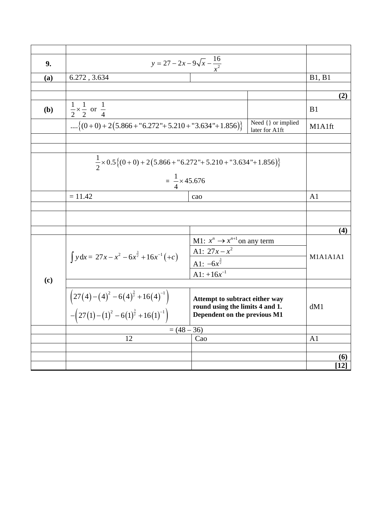| 9.           | $y = 27 - 2x - 9\sqrt{x} - \frac{16}{x^2}$                                                                             |                                                                   |                |                       |
|--------------|------------------------------------------------------------------------------------------------------------------------|-------------------------------------------------------------------|----------------|-----------------------|
| (a)          | 6.272, 3.634                                                                                                           |                                                                   |                | <b>B1</b> , <b>B1</b> |
|              |                                                                                                                        |                                                                   |                |                       |
|              |                                                                                                                        |                                                                   |                | (2)                   |
| ( <b>b</b> ) | $rac{1}{2} \times \frac{1}{2}$ or $rac{1}{4}$                                                                          |                                                                   |                |                       |
|              | Need { } or implied<br>$\{(0+0)+2(5.866+"6.272" + 5.210+"3.634" + 1.856)\}$<br>later for A1ft                          |                                                                   |                | M1A1ft                |
|              |                                                                                                                        |                                                                   |                |                       |
|              |                                                                                                                        |                                                                   |                |                       |
|              | $\frac{1}{2}\times 0.5\{(0+0)+2(5.866+"6.272" + 5.210+"3.634" + 1.856)\}$                                              |                                                                   |                |                       |
|              | $=\frac{1}{4} \times 45.676$                                                                                           |                                                                   |                |                       |
|              | $= 11.42$<br>cao                                                                                                       |                                                                   | A <sub>1</sub> |                       |
|              |                                                                                                                        |                                                                   |                |                       |
|              |                                                                                                                        |                                                                   |                |                       |
|              |                                                                                                                        |                                                                   |                | (4)                   |
|              |                                                                                                                        | M1: $x^n \rightarrow x^{n+1}$ on any term<br>A1: $27x - x^2$      |                |                       |
|              | $\int y dx = 27x - x^2 - 6x^{\frac{3}{2}} + 16x^{-1}(+c)$                                                              | A1: $-6x^{\frac{3}{2}}$                                           |                | M1A1A1A1              |
|              |                                                                                                                        | A1: $+16x^{-1}$                                                   |                |                       |
| (c)          |                                                                                                                        |                                                                   |                |                       |
|              | $\left(27(4)-(4)^2-6(4)^{\frac{3}{2}}+16(4)^{-1}\right)$<br>- $\left(27(1)-(1)^2-6(1)^{\frac{3}{2}}+16(1)^{-1}\right)$ | Attempt to subtract either way<br>round using the limits 4 and 1. |                | dM1                   |
|              |                                                                                                                        | Dependent on the previous M1                                      |                |                       |
|              | $= (48 - 36)$                                                                                                          |                                                                   |                |                       |
|              | 12                                                                                                                     | Cao                                                               |                | A1                    |
|              |                                                                                                                        |                                                                   |                | (6)                   |
|              |                                                                                                                        |                                                                   |                | $[12]$                |
|              |                                                                                                                        |                                                                   |                |                       |